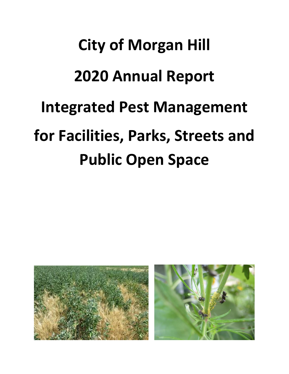# **City of Morgan Hill 2020 Annual Report Integrated Pest Management for Facilities, Parks, Streets and Public Open Space**

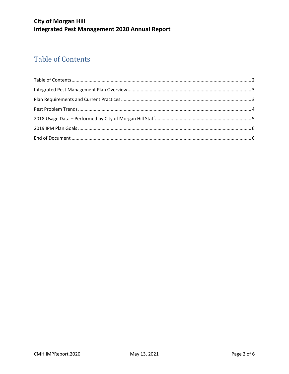#### **City of Morgan Hill Integrated Pest Management 2020 Annual Report**

## <span id="page-1-0"></span>**Table of Contents**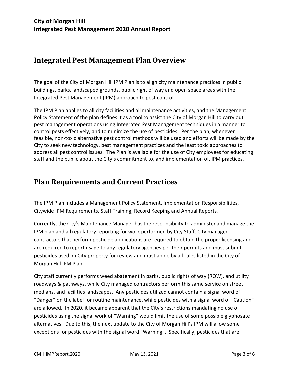#### <span id="page-2-0"></span>**Integrated Pest Management Plan Overview**

The goal of the City of Morgan Hill IPM Plan is to align city maintenance practices in public buildings, parks, landscaped grounds, public right of way and open space areas with the Integrated Pest Management (IPM) approach to pest control.

The IPM Plan applies to all city facilities and all maintenance activities, and the Management Policy Statement of the plan defines it as a tool to assist the City of Morgan Hill to carry out pest management operations using Integrated Pest Management techniques in a manner to control pests effectively, and to minimize the use of pesticides. Per the plan, whenever feasible, non-toxic alternative pest control methods will be used and efforts will be made by the City to seek new technology, best management practices and the least toxic approaches to address all pest control issues. The Plan is available for the use of City employees for educating staff and the public about the City's commitment to, and implementation of, IPM practices.

#### <span id="page-2-1"></span>**Plan Requirements and Current Practices**

The IPM Plan includes a Management Policy Statement, Implementation Responsibilities, Citywide IPM Requirements, Staff Training, Record Keeping and Annual Reports.

Currently, the City's Maintenance Manager has the responsibility to administer and manage the IPM plan and all regulatory reporting for work performed by City Staff. City managed contractors that perform pesticide applications are required to obtain the proper licensing and are required to report usage to any regulatory agencies per their permits and must submit pesticides used on City property for review and must abide by all rules listed in the City of Morgan Hill IPM Plan.

City staff currently performs weed abatement in parks, public rights of way (ROW), and utility roadways & pathways, while City managed contractors perform this same service on street medians, and facilities landscapes. Any pesticides utilized cannot contain a signal word of "Danger" on the label for routine maintenance, while pesticides with a signal word of "Caution" are allowed. In 2020, it became apparent that the City's restrictions mandating no use of pesticides using the signal work of "Warning" would limit the use of some possible glyphosate alternatives. Due to this, the next update to the City of Morgan Hill's IPM will allow some exceptions for pesticides with the signal word "Warning". Specifically, pesticides that are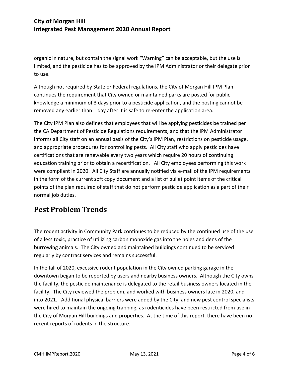organic in nature, but contain the signal work "Warning" can be acceptable, but the use is limited, and the pesticide has to be approved by the IPM Administrator or their delegate prior to use.

Although not required by State or Federal regulations, the City of Morgan Hill IPM Plan continues the requirement that City owned or maintained parks are posted for public knowledge a minimum of 3 days prior to a pesticide application, and the posting cannot be removed any earlier than 1 day after it is safe to re-enter the application area.

The City IPM Plan also defines that employees that will be applying pesticides be trained per the CA Department of Pesticide Regulations requirements, and that the IPM Administrator informs all City staff on an annual basis of the City's IPM Plan, restrictions on pesticide usage, and appropriate procedures for controlling pests. All City staff who apply pesticides have certifications that are renewable every two years which require 20 hours of continuing education training prior to obtain a recertification. All City employees performing this work were compliant in 2020. All City Staff are annually notified via e-mail of the IPM requirements in the form of the current soft copy document and a list of bullet point items of the critical points of the plan required of staff that do not perform pesticide application as a part of their normal job duties.

#### <span id="page-3-0"></span>**Pest Problem Trends**

The rodent activity in Community Park continues to be reduced by the continued use of the use of a less toxic, practice of utilizing carbon monoxide gas into the holes and dens of the burrowing animals. The City owned and maintained buildings continued to be serviced regularly by contract services and remains successful.

In the fall of 2020, excessive rodent population in the City owned parking garage in the downtown began to be reported by users and nearby business owners. Although the City owns the facility, the pesticide maintenance is delegated to the retail business owners located in the facility. The City reviewed the problem, and worked with business owners late in 2020, and into 2021. Additional physical barriers were added by the City, and new pest control specialists were hired to maintain the ongoing trapping, as rodenticides have been restricted from use in the City of Morgan Hill buildings and properties. At the time of this report, there have been no recent reports of rodents in the structure.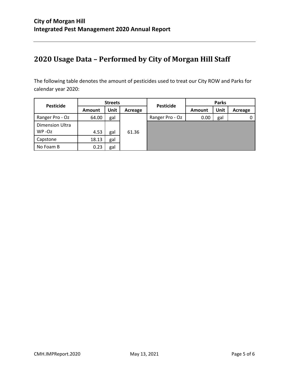### <span id="page-4-0"></span>**2020 Usage Data – Performed by City of Morgan Hill Staff**

The following table denotes the amount of pesticides used to treat our City ROW and Parks for calendar year 2020:

| <b>Pesticide</b>                    | <b>Streets</b> |             |         | <b>Pesticide</b> | <b>Parks</b> |      |         |
|-------------------------------------|----------------|-------------|---------|------------------|--------------|------|---------|
|                                     | Amount         | <b>Unit</b> | Acreage |                  | Amount       | Unit | Acreage |
| Ranger Pro - Oz                     | 64.00          | gal         |         | Ranger Pro - Oz  | 0.00         | gal  |         |
| <b>Dimension Ultra</b><br>$WP - Oz$ | 4.53           | gal         | 61.36   |                  |              |      |         |
| Capstone                            | 18.13          | gal         |         |                  |              |      |         |
| No Foam B                           | 0.23           | gal         |         |                  |              |      |         |